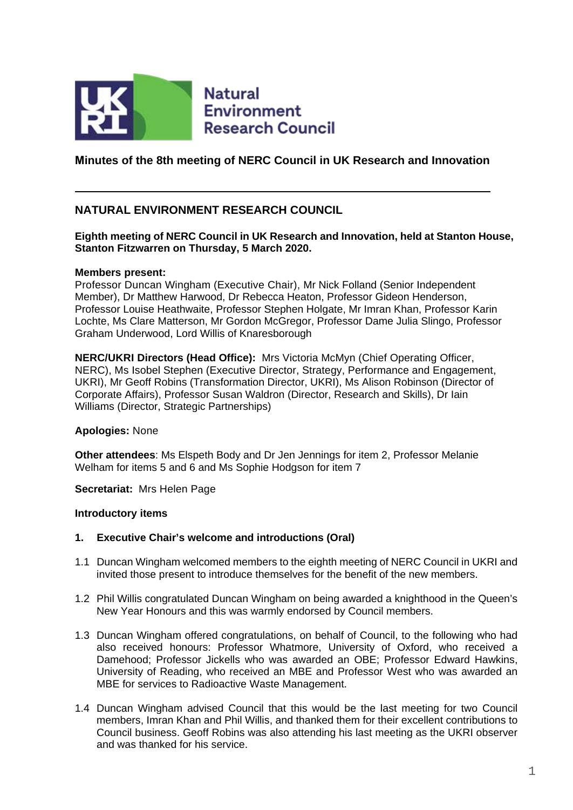

**Natural Environment Research Council** 

**Minutes of the 8th meeting of NERC Council in UK Research and Innovation**

#### **NATURAL ENVIRONMENT RESEARCH COUNCIL**

#### **Eighth meeting of NERC Council in UK Research and Innovation, held at Stanton House, Stanton Fitzwarren on Thursday, 5 March 2020.**

#### **Members present:**

Professor Duncan Wingham (Executive Chair), Mr Nick Folland (Senior Independent Member), Dr Matthew Harwood, Dr Rebecca Heaton, Professor Gideon Henderson, Professor Louise Heathwaite, Professor Stephen Holgate, Mr Imran Khan, Professor Karin Lochte, Ms Clare Matterson, Mr Gordon McGregor, Professor Dame Julia Slingo, Professor Graham Underwood, Lord Willis of Knaresborough

**NERC/UKRI Directors (Head Office):** Mrs Victoria McMyn (Chief Operating Officer, NERC), Ms Isobel Stephen (Executive Director, Strategy, Performance and Engagement, UKRI), Mr Geoff Robins (Transformation Director, UKRI), Ms Alison Robinson (Director of Corporate Affairs), Professor Susan Waldron (Director, Research and Skills), Dr Iain Williams (Director, Strategic Partnerships)

#### **Apologies:** None

**Other attendees**: Ms Elspeth Body and Dr Jen Jennings for item 2, Professor Melanie Welham for items 5 and 6 and Ms Sophie Hodgson for item 7

**Secretariat:** Mrs Helen Page

#### **Introductory items**

#### **1. Executive Chair's welcome and introductions (Oral)**

- 1.1 Duncan Wingham welcomed members to the eighth meeting of NERC Council in UKRI and invited those present to introduce themselves for the benefit of the new members.
- 1.2 Phil Willis congratulated Duncan Wingham on being awarded a knighthood in the Queen's New Year Honours and this was warmly endorsed by Council members.
- 1.3 Duncan Wingham offered congratulations, on behalf of Council, to the following who had also received honours: Professor Whatmore, University of Oxford, who received a Damehood; Professor Jickells who was awarded an OBE; Professor Edward Hawkins, University of Reading, who received an MBE and Professor West who was awarded an MBE for services to Radioactive Waste Management.
- 1.4 Duncan Wingham advised Council that this would be the last meeting for two Council members, Imran Khan and Phil Willis, and thanked them for their excellent contributions to Council business. Geoff Robins was also attending his last meeting as the UKRI observer and was thanked for his service.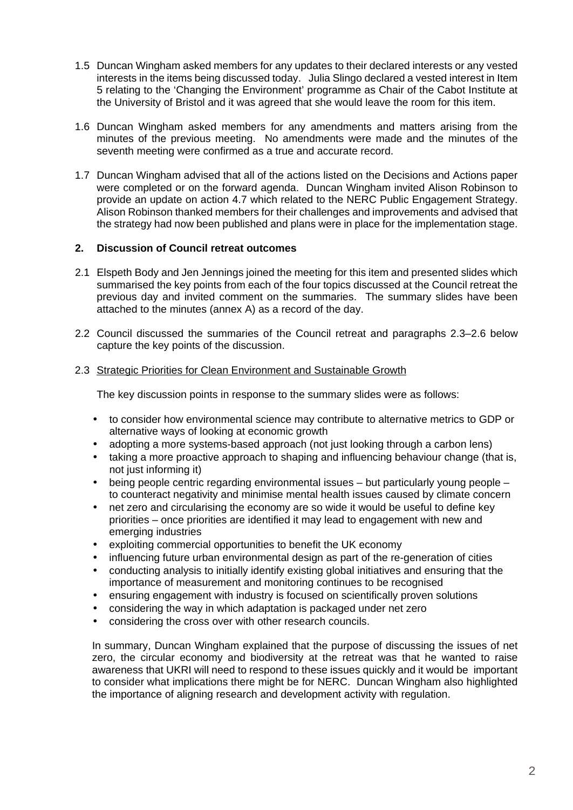- 1.5 Duncan Wingham asked members for any updates to their declared interests or any vested interests in the items being discussed today. Julia Slingo declared a vested interest in Item 5 relating to the 'Changing the Environment' programme as Chair of the Cabot Institute at the University of Bristol and it was agreed that she would leave the room for this item.
- 1.6 Duncan Wingham asked members for any amendments and matters arising from the minutes of the previous meeting. No amendments were made and the minutes of the seventh meeting were confirmed as a true and accurate record.
- 1.7 Duncan Wingham advised that all of the actions listed on the Decisions and Actions paper were completed or on the forward agenda. Duncan Wingham invited Alison Robinson to provide an update on action 4.7 which related to the NERC Public Engagement Strategy. Alison Robinson thanked members for their challenges and improvements and advised that the strategy had now been published and plans were in place for the implementation stage.

#### **2. Discussion of Council retreat outcomes**

- 2.1 Elspeth Body and Jen Jennings joined the meeting for this item and presented slides which summarised the key points from each of the four topics discussed at the Council retreat the previous day and invited comment on the summaries. The summary slides have been attached to the minutes (annex A) as a record of the day.
- 2.2 Council discussed the summaries of the Council retreat and paragraphs 2.3–2.6 below capture the key points of the discussion.

#### 2.3 Strategic Priorities for Clean Environment and Sustainable Growth

The key discussion points in response to the summary slides were as follows:

- to consider how environmental science may contribute to alternative metrics to GDP or alternative ways of looking at economic growth
- adopting a more systems-based approach (not just looking through a carbon lens)
- taking a more proactive approach to shaping and influencing behaviour change (that is, not just informing it)
- being people centric regarding environmental issues but particularly young people to counteract negativity and minimise mental health issues caused by climate concern
- net zero and circularising the economy are so wide it would be useful to define key priorities – once priorities are identified it may lead to engagement with new and emerging industries
- exploiting commercial opportunities to benefit the UK economy
- influencing future urban environmental design as part of the re-generation of cities  $\mathcal{L}^{\mathcal{L}}$
- conducting analysis to initially identify existing global initiatives and ensuring that the importance of measurement and monitoring continues to be recognised
- ensuring engagement with industry is focused on scientifically proven solutions  $\mathbf{r}$
- considering the way in which adaptation is packaged under net zero
- considering the cross over with other research councils.

In summary, Duncan Wingham explained that the purpose of discussing the issues of net zero, the circular economy and biodiversity at the retreat was that he wanted to raise awareness that UKRI will need to respond to these issues quickly and it would be important to consider what implications there might be for NERC. Duncan Wingham also highlighted the importance of aligning research and development activity with regulation.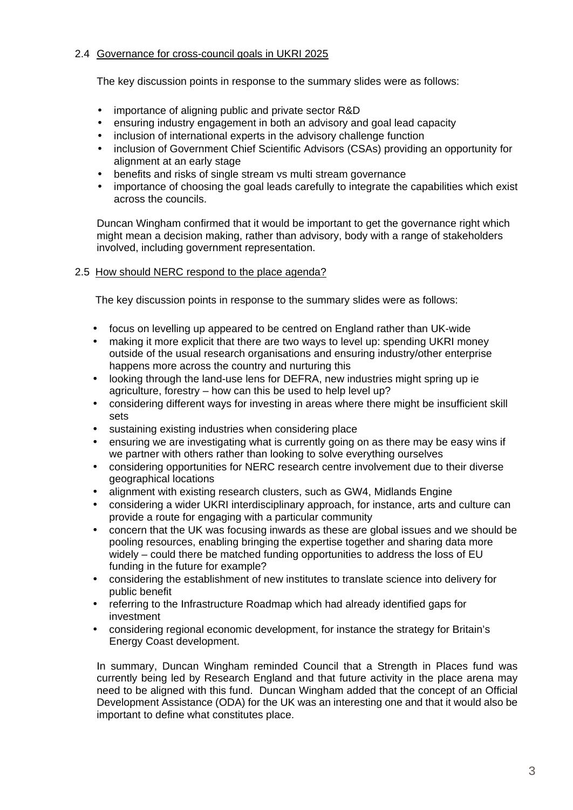#### 2.4 Governance for cross-council goals in UKRI 2025

The key discussion points in response to the summary slides were as follows:

- importance of aligning public and private sector R&D
- ensuring industry engagement in both an advisory and goal lead capacity  $\mathbf{r}$
- inclusion of international experts in the advisory challenge function
- inclusion of Government Chief Scientific Advisors (CSAs) providing an opportunity for alignment at an early stage
- benefits and risks of single stream vs multi stream governance
- importance of choosing the goal leads carefully to integrate the capabilities which exist across the councils.

Duncan Wingham confirmed that it would be important to get the governance right which might mean a decision making, rather than advisory, body with a range of stakeholders involved, including government representation.

2.5 How should NERC respond to the place agenda?

The key discussion points in response to the summary slides were as follows:

- focus on levelling up appeared to be centred on England rather than UK-wide
- making it more explicit that there are two ways to level up: spending UKRI money outside of the usual research organisations and ensuring industry/other enterprise happens more across the country and nurturing this
- looking through the land-use lens for DEFRA, new industries might spring up ie  $\mathbf{r}$ agriculture, forestry – how can this be used to help level up?
- considering different ways for investing in areas where there might be insufficient skill  $\mathbf{r}$ sets
- sustaining existing industries when considering place
- ensuring we are investigating what is currently going on as there may be easy wins if we partner with others rather than looking to solve everything ourselves
- considering opportunities for NERC research centre involvement due to their diverse  $\mathbf{r}$ geographical locations
- alignment with existing research clusters, such as GW4, Midlands Engine
- considering a wider UKRI interdisciplinary approach, for instance, arts and culture can provide a route for engaging with a particular community
- concern that the UK was focusing inwards as these are global issues and we should be pooling resources, enabling bringing the expertise together and sharing data more widely – could there be matched funding opportunities to address the loss of EU funding in the future for example?
- considering the establishment of new institutes to translate science into delivery for  $\mathbf{r}$ public benefit
- referring to the Infrastructure Roadmap which had already identified gaps for investment
- considering regional economic development, for instance the strategy for Britain's Energy Coast development.

In summary, Duncan Wingham reminded Council that a Strength in Places fund was currently being led by Research England and that future activity in the place arena may need to be aligned with this fund. Duncan Wingham added that the concept of an Official Development Assistance (ODA) for the UK was an interesting one and that it would also be important to define what constitutes place.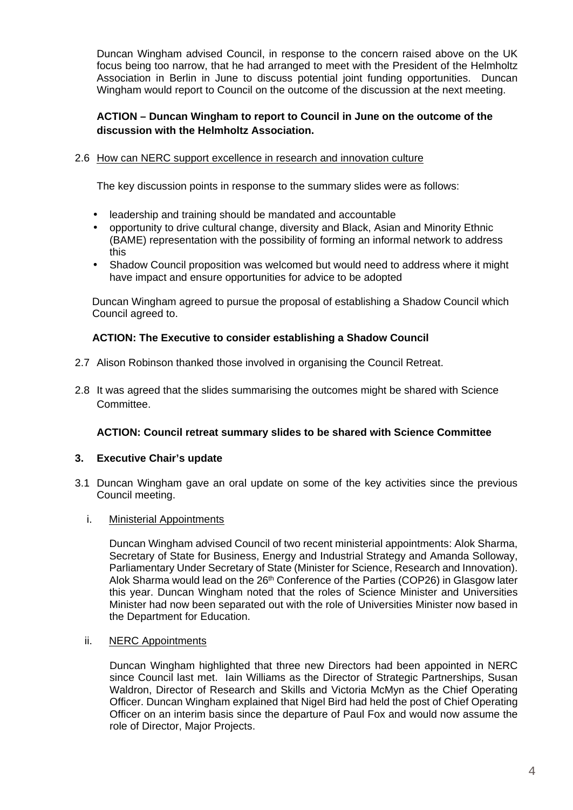Duncan Wingham advised Council, in response to the concern raised above on the UK focus being too narrow, that he had arranged to meet with the President of the Helmholtz Association in Berlin in June to discuss potential joint funding opportunities. Duncan Wingham would report to Council on the outcome of the discussion at the next meeting.

#### **ACTION – Duncan Wingham to report to Council in June on the outcome of the discussion with the Helmholtz Association.**

#### 2.6 How can NERC support excellence in research and innovation culture

The key discussion points in response to the summary slides were as follows:

- leadership and training should be mandated and accountable
- opportunity to drive cultural change, diversity and Black, Asian and Minority Ethnic (BAME) representation with the possibility of forming an informal network to address this
- Shadow Council proposition was welcomed but would need to address where it might  $\mathcal{L}^{\pm}$ have impact and ensure opportunities for advice to be adopted

Duncan Wingham agreed to pursue the proposal of establishing a Shadow Council which Council agreed to.

#### **ACTION: The Executive to consider establishing a Shadow Council**

- 2.7 Alison Robinson thanked those involved in organising the Council Retreat.
- 2.8 It was agreed that the slides summarising the outcomes might be shared with Science Committee.

#### **ACTION: Council retreat summary slides to be shared with Science Committee**

#### **3. Executive Chair's update**

3.1 Duncan Wingham gave an oral update on some of the key activities since the previous Council meeting.

#### i. Ministerial Appointments

Duncan Wingham advised Council of two recent ministerial appointments: Alok Sharma, Secretary of State for Business, Energy and Industrial Strategy and Amanda Solloway, Parliamentary Under Secretary of State (Minister for Science, Research and Innovation). Alok Sharma would lead on the 26<sup>th</sup> Conference of the Parties (COP26) in Glasgow later this year. Duncan Wingham noted that the roles of Science Minister and Universities Minister had now been separated out with the role of Universities Minister now based in the Department for Education.

#### ii. NERC Appointments

Duncan Wingham highlighted that three new Directors had been appointed in NERC since Council last met. Iain Williams as the Director of Strategic Partnerships, Susan Waldron, Director of Research and Skills and Victoria McMyn as the Chief Operating Officer. Duncan Wingham explained that Nigel Bird had held the post of Chief Operating Officer on an interim basis since the departure of Paul Fox and would now assume the role of Director, Major Projects.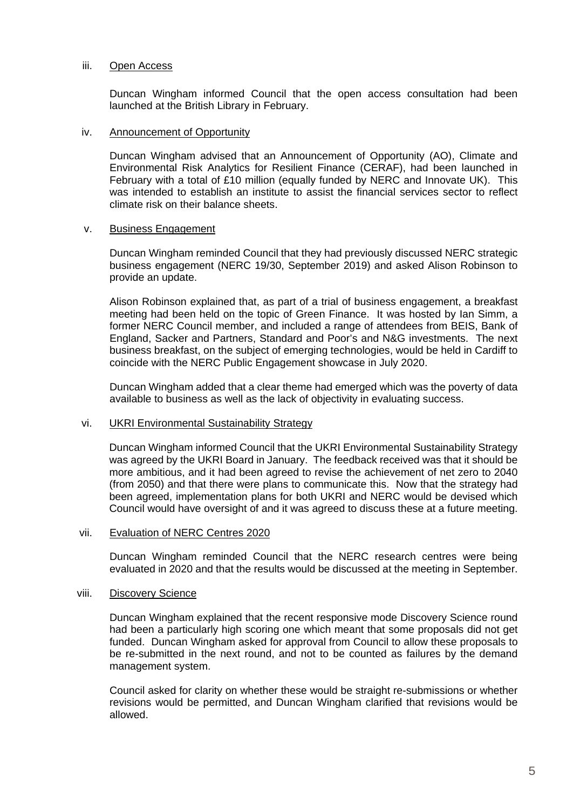#### iii. Open Access

Duncan Wingham informed Council that the open access consultation had been launched at the British Library in February.

#### iv. Announcement of Opportunity

Duncan Wingham advised that an Announcement of Opportunity (AO), Climate and Environmental Risk Analytics for Resilient Finance (CERAF), had been launched in February with a total of £10 million (equally funded by NERC and Innovate UK). This was intended to establish an institute to assist the financial services sector to reflect climate risk on their balance sheets.

#### v. Business Engagement

Duncan Wingham reminded Council that they had previously discussed NERC strategic business engagement (NERC 19/30, September 2019) and asked Alison Robinson to provide an update.

Alison Robinson explained that, as part of a trial of business engagement, a breakfast meeting had been held on the topic of Green Finance. It was hosted by Ian Simm, a former NERC Council member, and included a range of attendees from BEIS, Bank of England, Sacker and Partners, Standard and Poor's and N&G investments. The next business breakfast, on the subject of emerging technologies, would be held in Cardiff to coincide with the NERC Public Engagement showcase in July 2020.

Duncan Wingham added that a clear theme had emerged which was the poverty of data available to business as well as the lack of objectivity in evaluating success.

#### vi. UKRI Environmental Sustainability Strategy

Duncan Wingham informed Council that the UKRI Environmental Sustainability Strategy was agreed by the UKRI Board in January. The feedback received was that it should be more ambitious, and it had been agreed to revise the achievement of net zero to 2040 (from 2050) and that there were plans to communicate this. Now that the strategy had been agreed, implementation plans for both UKRI and NERC would be devised which Council would have oversight of and it was agreed to discuss these at a future meeting.

#### vii. Evaluation of NERC Centres 2020

Duncan Wingham reminded Council that the NERC research centres were being evaluated in 2020 and that the results would be discussed at the meeting in September.

#### viii. Discovery Science

Duncan Wingham explained that the recent responsive mode Discovery Science round had been a particularly high scoring one which meant that some proposals did not get funded. Duncan Wingham asked for approval from Council to allow these proposals to be re-submitted in the next round, and not to be counted as failures by the demand management system.

Council asked for clarity on whether these would be straight re-submissions or whether revisions would be permitted, and Duncan Wingham clarified that revisions would be allowed.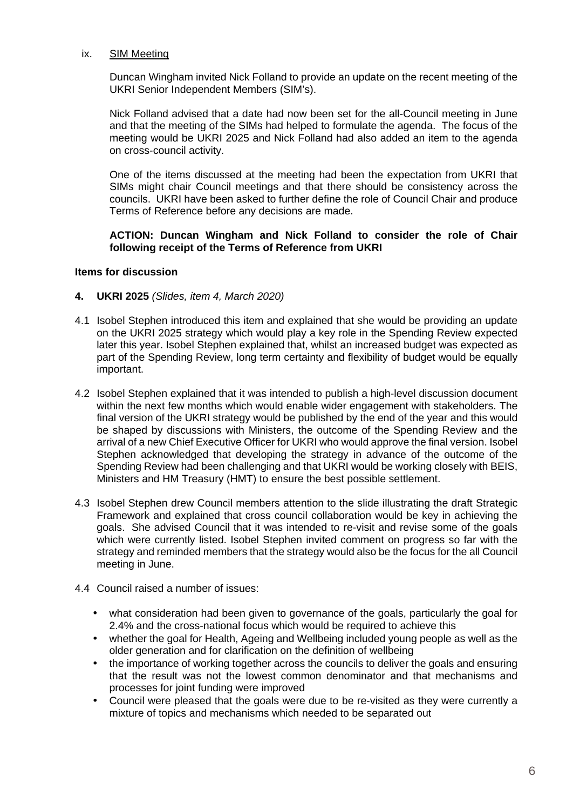#### ix. SIM Meeting

Duncan Wingham invited Nick Folland to provide an update on the recent meeting of the UKRI Senior Independent Members (SIM's).

Nick Folland advised that a date had now been set for the all-Council meeting in June and that the meeting of the SIMs had helped to formulate the agenda. The focus of the meeting would be UKRI 2025 and Nick Folland had also added an item to the agenda on cross-council activity.

One of the items discussed at the meeting had been the expectation from UKRI that SIMs might chair Council meetings and that there should be consistency across the councils. UKRI have been asked to further define the role of Council Chair and produce Terms of Reference before any decisions are made.

#### **ACTION: Duncan Wingham and Nick Folland to consider the role of Chair following receipt of the Terms of Reference from UKRI**

#### **Items for discussion**

- **4. UKRI 2025** *(Slides, item 4, March 2020)*
- 4.1 Isobel Stephen introduced this item and explained that she would be providing an update on the UKRI 2025 strategy which would play a key role in the Spending Review expected later this year. Isobel Stephen explained that, whilst an increased budget was expected as part of the Spending Review, long term certainty and flexibility of budget would be equally important.
- 4.2 Isobel Stephen explained that it was intended to publish a high-level discussion document within the next few months which would enable wider engagement with stakeholders. The final version of the UKRI strategy would be published by the end of the year and this would be shaped by discussions with Ministers, the outcome of the Spending Review and the arrival of a new Chief Executive Officer for UKRI who would approve the final version. Isobel Stephen acknowledged that developing the strategy in advance of the outcome of the Spending Review had been challenging and that UKRI would be working closely with BEIS, Ministers and HM Treasury (HMT) to ensure the best possible settlement.
- 4.3 Isobel Stephen drew Council members attention to the slide illustrating the draft Strategic Framework and explained that cross council collaboration would be key in achieving the goals. She advised Council that it was intended to re-visit and revise some of the goals which were currently listed. Isobel Stephen invited comment on progress so far with the strategy and reminded members that the strategy would also be the focus for the all Council meeting in June.
- 4.4 Council raised a number of issues:
	- what consideration had been given to governance of the goals, particularly the goal for 2.4% and the cross-national focus which would be required to achieve this
	- whether the goal for Health, Ageing and Wellbeing included young people as well as the older generation and for clarification on the definition of wellbeing
	- the importance of working together across the councils to deliver the goals and ensuring that the result was not the lowest common denominator and that mechanisms and processes for joint funding were improved
	- Council were pleased that the goals were due to be re-visited as they were currently a mixture of topics and mechanisms which needed to be separated out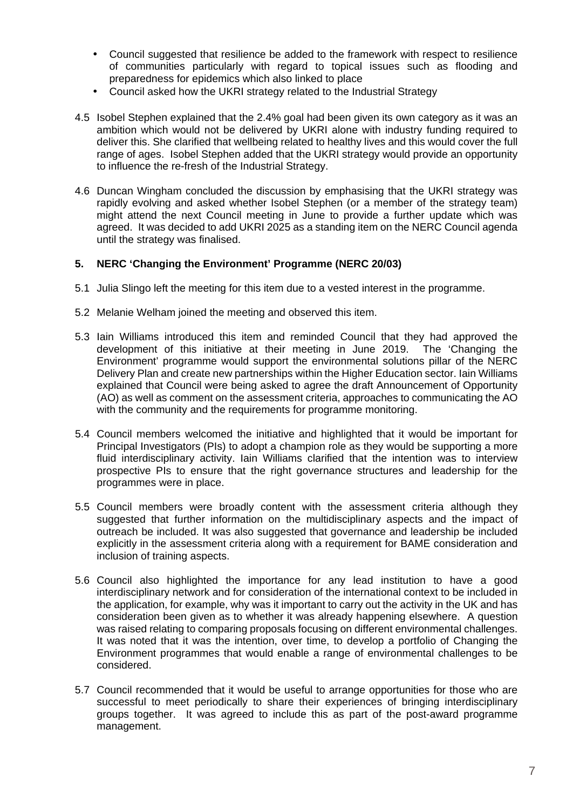- Council suggested that resilience be added to the framework with respect to resilience of communities particularly with regard to topical issues such as flooding and preparedness for epidemics which also linked to place
- Council asked how the UKRI strategy related to the Industrial Strategy
- 4.5 Isobel Stephen explained that the 2.4% goal had been given its own category as it was an ambition which would not be delivered by UKRI alone with industry funding required to deliver this. She clarified that wellbeing related to healthy lives and this would cover the full range of ages. Isobel Stephen added that the UKRI strategy would provide an opportunity to influence the re-fresh of the Industrial Strategy.
- 4.6 Duncan Wingham concluded the discussion by emphasising that the UKRI strategy was rapidly evolving and asked whether Isobel Stephen (or a member of the strategy team) might attend the next Council meeting in June to provide a further update which was agreed. It was decided to add UKRI 2025 as a standing item on the NERC Council agenda until the strategy was finalised.

#### **5. NERC 'Changing the Environment' Programme (NERC 20/03)**

- 5.1 Julia Slingo left the meeting for this item due to a vested interest in the programme.
- 5.2 Melanie Welham joined the meeting and observed this item.
- 5.3 Iain Williams introduced this item and reminded Council that they had approved the development of this initiative at their meeting in June 2019. The 'Changing the Environment' programme would support the environmental solutions pillar of the NERC Delivery Plan and create new partnerships within the Higher Education sector. Iain Williams explained that Council were being asked to agree the draft Announcement of Opportunity (AO) as well as comment on the assessment criteria, approaches to communicating the AO with the community and the requirements for programme monitoring.
- 5.4 Council members welcomed the initiative and highlighted that it would be important for Principal Investigators (PIs) to adopt a champion role as they would be supporting a more fluid interdisciplinary activity. Iain Williams clarified that the intention was to interview prospective PIs to ensure that the right governance structures and leadership for the programmes were in place.
- 5.5 Council members were broadly content with the assessment criteria although they suggested that further information on the multidisciplinary aspects and the impact of outreach be included. It was also suggested that governance and leadership be included explicitly in the assessment criteria along with a requirement for BAME consideration and inclusion of training aspects.
- 5.6 Council also highlighted the importance for any lead institution to have a good interdisciplinary network and for consideration of the international context to be included in the application, for example, why was it important to carry out the activity in the UK and has consideration been given as to whether it was already happening elsewhere. A question was raised relating to comparing proposals focusing on different environmental challenges. It was noted that it was the intention, over time, to develop a portfolio of Changing the Environment programmes that would enable a range of environmental challenges to be considered.
- 5.7 Council recommended that it would be useful to arrange opportunities for those who are successful to meet periodically to share their experiences of bringing interdisciplinary groups together. It was agreed to include this as part of the post-award programme management.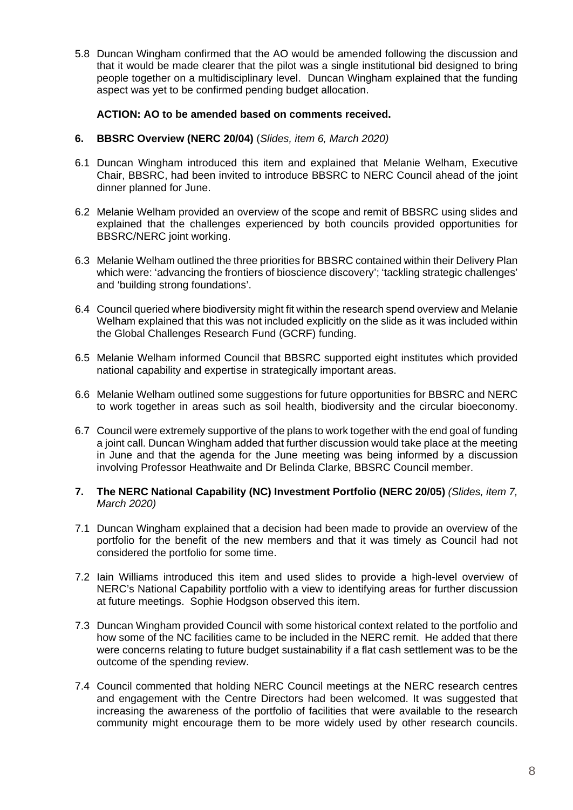5.8 Duncan Wingham confirmed that the AO would be amended following the discussion and that it would be made clearer that the pilot was a single institutional bid designed to bring people together on a multidisciplinary level. Duncan Wingham explained that the funding aspect was yet to be confirmed pending budget allocation.

#### **ACTION: AO to be amended based on comments received.**

- **6. BBSRC Overview (NERC 20/04)** (*Slides, item 6, March 2020)*
- 6.1 Duncan Wingham introduced this item and explained that Melanie Welham, Executive Chair, BBSRC, had been invited to introduce BBSRC to NERC Council ahead of the joint dinner planned for June.
- 6.2 Melanie Welham provided an overview of the scope and remit of BBSRC using slides and explained that the challenges experienced by both councils provided opportunities for BBSRC/NERC joint working.
- 6.3 Melanie Welham outlined the three priorities for BBSRC contained within their Delivery Plan which were: 'advancing the frontiers of bioscience discovery'; 'tackling strategic challenges' and 'building strong foundations'.
- 6.4 Council queried where biodiversity might fit within the research spend overview and Melanie Welham explained that this was not included explicitly on the slide as it was included within the Global Challenges Research Fund (GCRF) funding.
- 6.5 Melanie Welham informed Council that BBSRC supported eight institutes which provided national capability and expertise in strategically important areas.
- 6.6 Melanie Welham outlined some suggestions for future opportunities for BBSRC and NERC to work together in areas such as soil health, biodiversity and the circular bioeconomy.
- 6.7 Council were extremely supportive of the plans to work together with the end goal of funding a joint call. Duncan Wingham added that further discussion would take place at the meeting in June and that the agenda for the June meeting was being informed by a discussion involving Professor Heathwaite and Dr Belinda Clarke, BBSRC Council member.
- **7. The NERC National Capability (NC) Investment Portfolio (NERC 20/05)** *(Slides, item 7, March 2020)*
- 7.1 Duncan Wingham explained that a decision had been made to provide an overview of the portfolio for the benefit of the new members and that it was timely as Council had not considered the portfolio for some time.
- 7.2 Iain Williams introduced this item and used slides to provide a high-level overview of NERC's National Capability portfolio with a view to identifying areas for further discussion at future meetings. Sophie Hodgson observed this item.
- 7.3 Duncan Wingham provided Council with some historical context related to the portfolio and how some of the NC facilities came to be included in the NERC remit. He added that there were concerns relating to future budget sustainability if a flat cash settlement was to be the outcome of the spending review.
- 7.4 Council commented that holding NERC Council meetings at the NERC research centres and engagement with the Centre Directors had been welcomed. It was suggested that increasing the awareness of the portfolio of facilities that were available to the research community might encourage them to be more widely used by other research councils.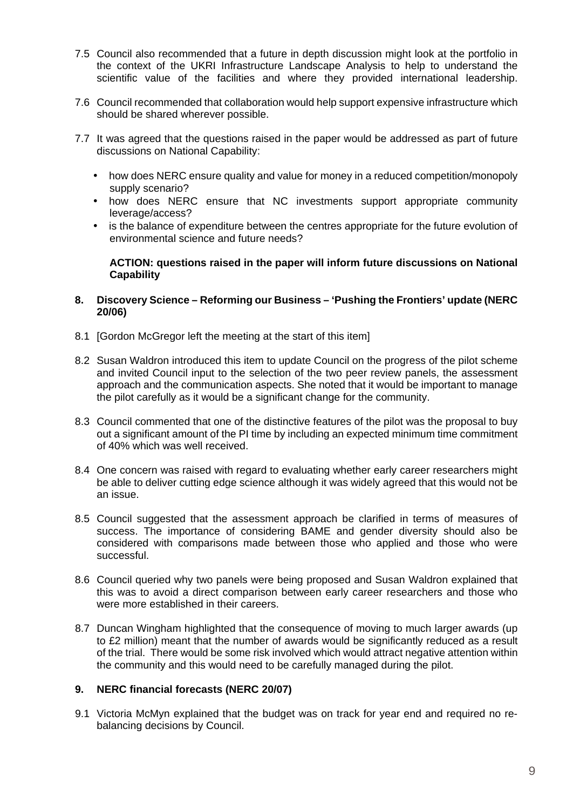- 7.5 Council also recommended that a future in depth discussion might look at the portfolio in the context of the UKRI Infrastructure Landscape Analysis to help to understand the scientific value of the facilities and where they provided international leadership.
- 7.6 Council recommended that collaboration would help support expensive infrastructure which should be shared wherever possible.
- 7.7 It was agreed that the questions raised in the paper would be addressed as part of future discussions on National Capability:
	- how does NERC ensure quality and value for money in a reduced competition/monopoly supply scenario?
	- how does NERC ensure that NC investments support appropriate community leverage/access?
	- is the balance of expenditure between the centres appropriate for the future evolution of environmental science and future needs?

**ACTION: questions raised in the paper will inform future discussions on National Capability**

#### **8. Discovery Science – Reforming our Business – 'Pushing the Frontiers' update (NERC 20/06)**

- 8.1 [Gordon McGregor left the meeting at the start of this item]
- 8.2 Susan Waldron introduced this item to update Council on the progress of the pilot scheme and invited Council input to the selection of the two peer review panels, the assessment approach and the communication aspects. She noted that it would be important to manage the pilot carefully as it would be a significant change for the community.
- 8.3 Council commented that one of the distinctive features of the pilot was the proposal to buy out a significant amount of the PI time by including an expected minimum time commitment of 40% which was well received.
- 8.4 One concern was raised with regard to evaluating whether early career researchers might be able to deliver cutting edge science although it was widely agreed that this would not be an issue.
- 8.5 Council suggested that the assessment approach be clarified in terms of measures of success. The importance of considering BAME and gender diversity should also be considered with comparisons made between those who applied and those who were successful.
- 8.6 Council queried why two panels were being proposed and Susan Waldron explained that this was to avoid a direct comparison between early career researchers and those who were more established in their careers.
- 8.7 Duncan Wingham highlighted that the consequence of moving to much larger awards (up to £2 million) meant that the number of awards would be significantly reduced as a result of the trial. There would be some risk involved which would attract negative attention within the community and this would need to be carefully managed during the pilot.

#### **9. NERC financial forecasts (NERC 20/07)**

9.1 Victoria McMyn explained that the budget was on track for year end and required no rebalancing decisions by Council.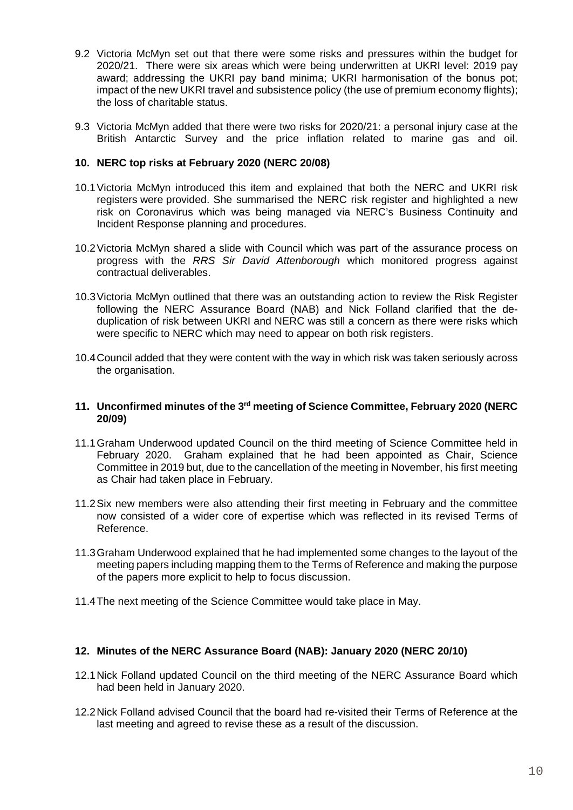- 9.2 Victoria McMyn set out that there were some risks and pressures within the budget for 2020/21. There were six areas which were being underwritten at UKRI level: 2019 pay award; addressing the UKRI pay band minima; UKRI harmonisation of the bonus pot; impact of the new UKRI travel and subsistence policy (the use of premium economy flights); the loss of charitable status.
- 9.3 Victoria McMyn added that there were two risks for 2020/21: a personal injury case at the British Antarctic Survey and the price inflation related to marine gas and oil.

#### **10. NERC top risks at February 2020 (NERC 20/08)**

- 10.1Victoria McMyn introduced this item and explained that both the NERC and UKRI risk registers were provided. She summarised the NERC risk register and highlighted a new risk on Coronavirus which was being managed via NERC's Business Continuity and Incident Response planning and procedures.
- 10.2Victoria McMyn shared a slide with Council which was part of the assurance process on progress with the *RRS Sir David Attenborough* which monitored progress against contractual deliverables.
- 10.3Victoria McMyn outlined that there was an outstanding action to review the Risk Register following the NERC Assurance Board (NAB) and Nick Folland clarified that the deduplication of risk between UKRI and NERC was still a concern as there were risks which were specific to NERC which may need to appear on both risk registers.
- 10.4Council added that they were content with the way in which risk was taken seriously across the organisation.

#### **11. Unconfirmed minutes of the 3rd meeting of Science Committee, February 2020 (NERC 20/09)**

- 11.1Graham Underwood updated Council on the third meeting of Science Committee held in February 2020. Graham explained that he had been appointed as Chair, Science Committee in 2019 but, due to the cancellation of the meeting in November, his first meeting as Chair had taken place in February.
- 11.2Six new members were also attending their first meeting in February and the committee now consisted of a wider core of expertise which was reflected in its revised Terms of Reference.
- 11.3Graham Underwood explained that he had implemented some changes to the layout of the meeting papers including mapping them to the Terms of Reference and making the purpose of the papers more explicit to help to focus discussion.
- 11.4The next meeting of the Science Committee would take place in May.

#### **12. Minutes of the NERC Assurance Board (NAB): January 2020 (NERC 20/10)**

- 12.1Nick Folland updated Council on the third meeting of the NERC Assurance Board which had been held in January 2020.
- 12.2Nick Folland advised Council that the board had re-visited their Terms of Reference at the last meeting and agreed to revise these as a result of the discussion.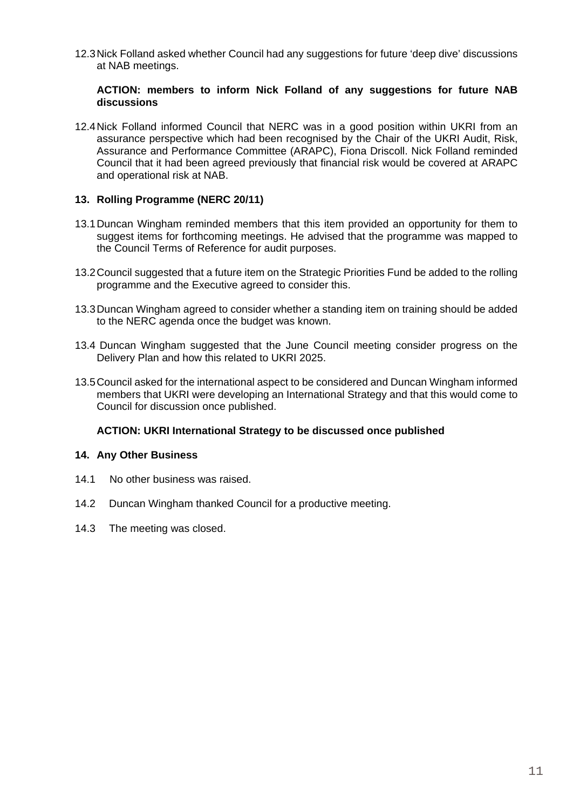12.3Nick Folland asked whether Council had any suggestions for future 'deep dive' discussions at NAB meetings.

#### **ACTION: members to inform Nick Folland of any suggestions for future NAB discussions**

12.4Nick Folland informed Council that NERC was in a good position within UKRI from an assurance perspective which had been recognised by the Chair of the UKRI Audit, Risk, Assurance and Performance Committee (ARAPC), Fiona Driscoll. Nick Folland reminded Council that it had been agreed previously that financial risk would be covered at ARAPC and operational risk at NAB.

#### **13. Rolling Programme (NERC 20/11)**

- 13.1Duncan Wingham reminded members that this item provided an opportunity for them to suggest items for forthcoming meetings. He advised that the programme was mapped to the Council Terms of Reference for audit purposes.
- 13.2Council suggested that a future item on the Strategic Priorities Fund be added to the rolling programme and the Executive agreed to consider this.
- 13.3Duncan Wingham agreed to consider whether a standing item on training should be added to the NERC agenda once the budget was known.
- 13.4 Duncan Wingham suggested that the June Council meeting consider progress on the Delivery Plan and how this related to UKRI 2025.
- 13.5Council asked for the international aspect to be considered and Duncan Wingham informed members that UKRI were developing an International Strategy and that this would come to Council for discussion once published.

#### **ACTION: UKRI International Strategy to be discussed once published**

#### **14. Any Other Business**

- 14.1 No other business was raised.
- 14.2 Duncan Wingham thanked Council for a productive meeting.
- 14.3 The meeting was closed.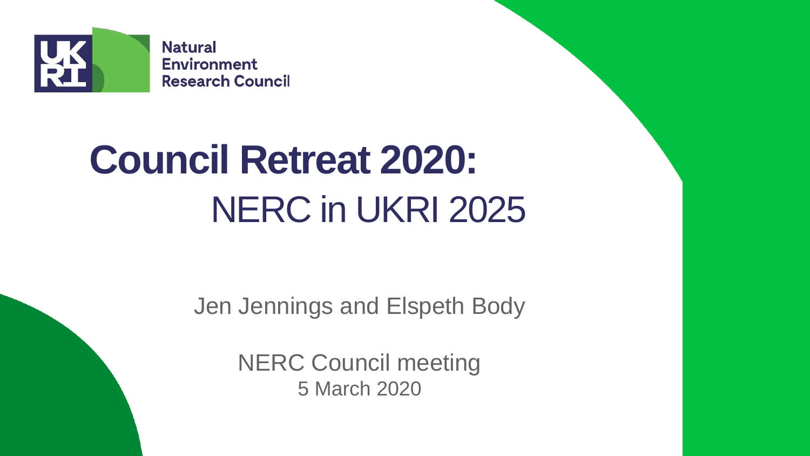

# **Council Retreat 2020:**  NERC in UKRI 2025

Jen Jennings and Elspeth Body

NERC Council meeting 5 March 2020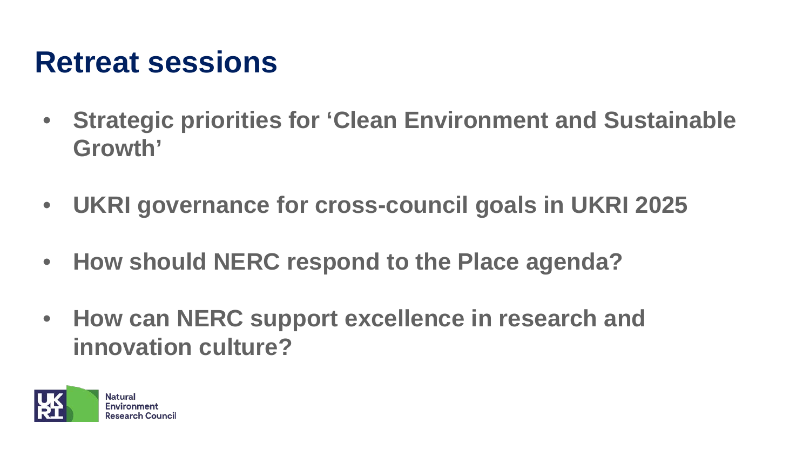## **Retreat sessions**

- **Strategic priorities for 'Clean Environment and Sustainable Growth'**
- **UKRI governance for cross-council goals in UKRI 2025**
- **How should NERC respond to the Place agenda?**
- **How can NERC support excellence in research and innovation culture?**

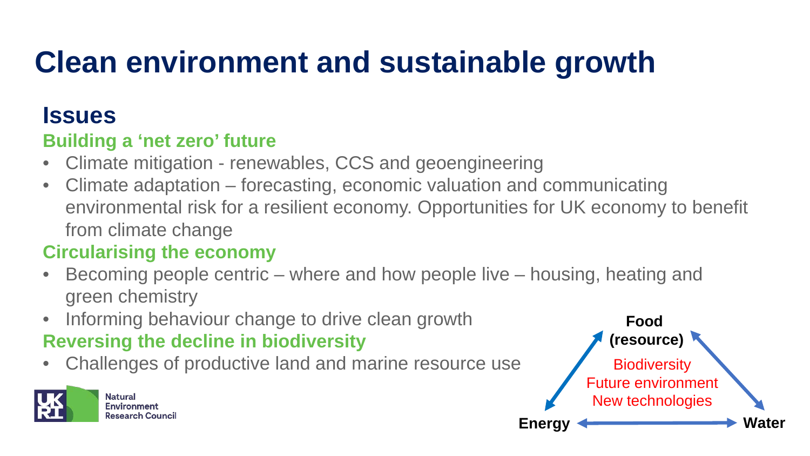## **Clean environment and sustainable growth**

### **Issues**

### **Building a 'net zero' future**

- Climate mitigation renewables, CCS and geoengineering
- Climate adaptation forecasting, economic valuation and communicating environmental risk for a resilient economy. Opportunities for UK economy to benefit from climate change

### **Circularising the economy**

- Becoming people centric where and how people live housing, heating and green chemistry
- Informing behaviour change to drive clean growth

### **Reversing the decline in biodiversity**

• Challenges of productive land and marine resource use



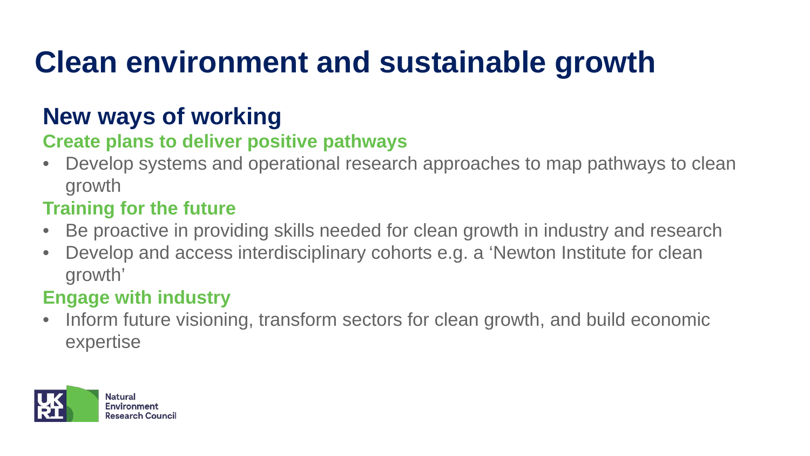## **Clean environment and sustainable growth**

### **New ways of working**

### **Create plans to deliver positive pathways**

• Develop systems and operational research approaches to map pathways to clean growth

### **Training for the future**

- Be proactive in providing skills needed for clean growth in industry and research
- Develop and access interdisciplinary cohorts e.g. a 'Newton Institute for clean growth'

### **Engage with industry**

• Inform future visioning, transform sectors for clean growth, and build economic expertise

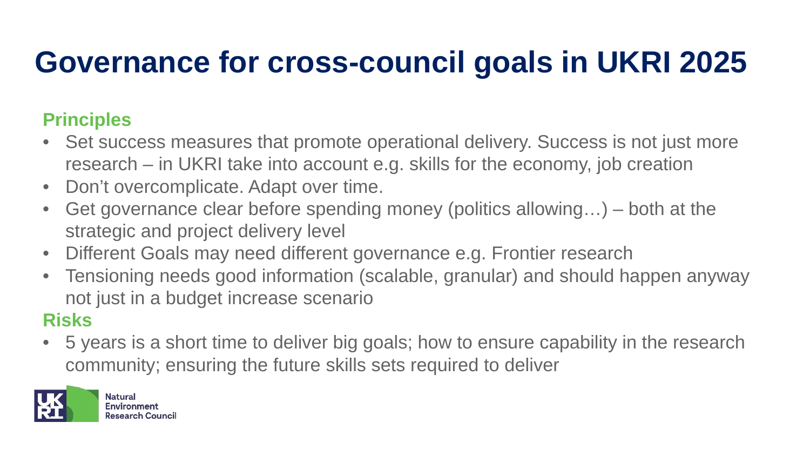## **Governance for cross-council goals in UKRI 2025**

### **Principles**

- Set success measures that promote operational delivery. Success is not just more research – in UKRI take into account e.g. skills for the economy, job creation
- Don't overcomplicate. Adapt over time.
- Get governance clear before spending money (politics allowing...) both at the strategic and project delivery level
- Different Goals may need different governance e.g. Frontier research
- Tensioning needs good information (scalable, granular) and should happen anyway not just in a budget increase scenario

### **Risks**

• 5 years is a short time to deliver big goals; how to ensure capability in the research community; ensuring the future skills sets required to deliver

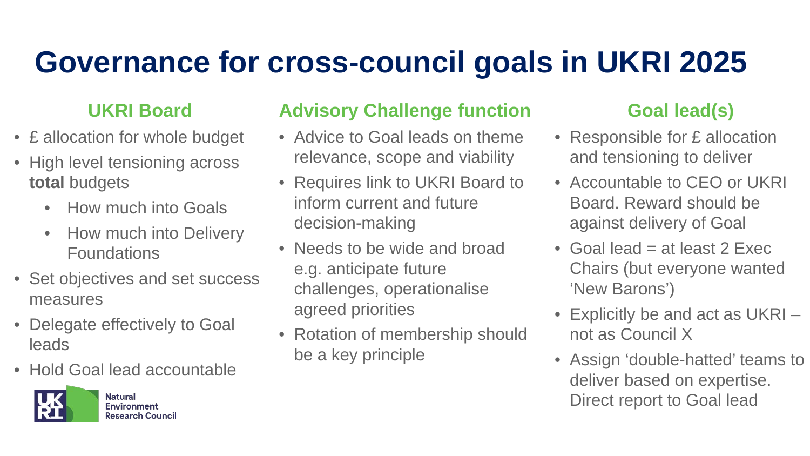## **Governance for cross-council goals in UKRI 2025**

### **UKRI Board**

- £ allocation for whole budget
- High level tensioning across **total** budgets
	- How much into Goals
	- How much into Delivery Foundations
- Set objectives and set success measures
- Delegate effectively to Goal leads
- Hold Goal lead accountable



**Environment Research Council** 

### **Advisory Challenge function**

- Advice to Goal leads on theme relevance, scope and viability
- Requires link to UKRI Board to inform current and future decision-making
- Needs to be wide and broad e.g. anticipate future challenges, operationalise agreed priorities
- Rotation of membership should be a key principle

### **Goal lead(s)**

- Responsible for £ allocation and tensioning to deliver
- Accountable to CEO or UKRI Board. Reward should be against delivery of Goal
- Goal lead  $=$  at least 2 Exec Chairs (but everyone wanted 'New Barons')
- Explicitly be and act as UKRI not as Council X
- Assign 'double-hatted' teams to deliver based on expertise. Direct report to Goal lead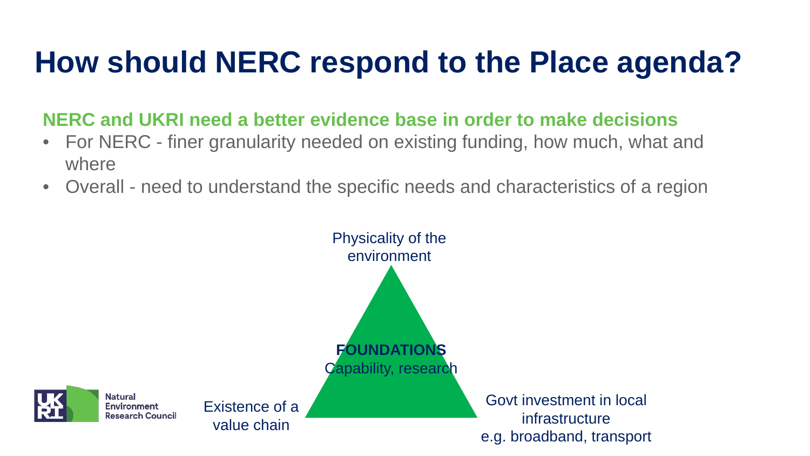## **How should NERC respond to the Place agenda?**

**NERC and UKRI need a better evidence base in order to make decisions**

- For NERC finer granularity needed on existing funding, how much, what and where
- Overall need to understand the specific needs and characteristics of a region

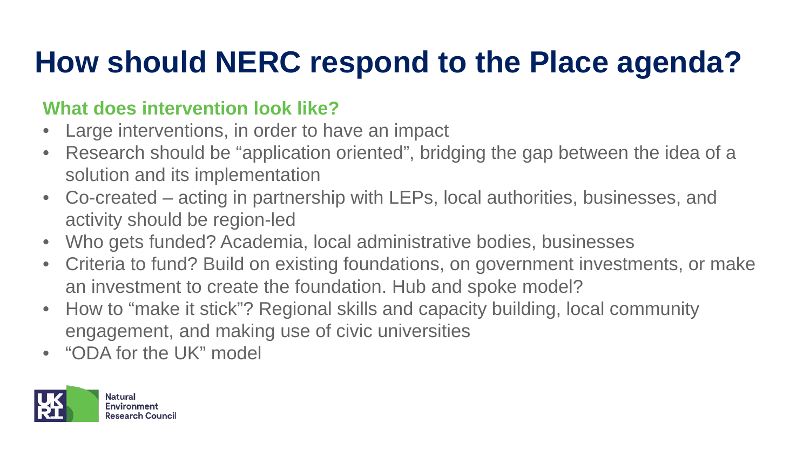## **How should NERC respond to the Place agenda?**

### **What does intervention look like?**

- Large interventions, in order to have an impact
- Research should be "application oriented", bridging the gap between the idea of a solution and its implementation
- Co-created acting in partnership with LEPs, local authorities, businesses, and activity should be region-led
- Who gets funded? Academia, local administrative bodies, businesses
- Criteria to fund? Build on existing foundations, on government investments, or make an investment to create the foundation. Hub and spoke model?
- How to "make it stick"? Regional skills and capacity building, local community engagement, and making use of civic universities
- "ODA for the UK" model

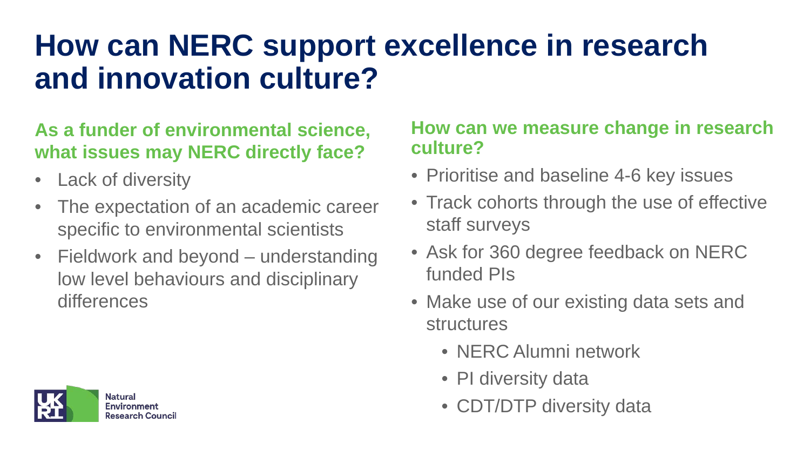## **How can NERC support excellence in research and innovation culture?**

### **As a funder of environmental science, what issues may NERC directly face?**

- Lack of diversity
- The expectation of an academic career specific to environmental scientists
- Fieldwork and beyond understanding low level behaviours and disciplinary differences



### **How can we measure change in research culture?**

- Prioritise and baseline 4-6 key issues
- Track cohorts through the use of effective staff surveys
- Ask for 360 degree feedback on NERC funded PIs
- Make use of our existing data sets and structures
	- NERC Alumni network
	- PI diversity data
	- CDT/DTP diversity data